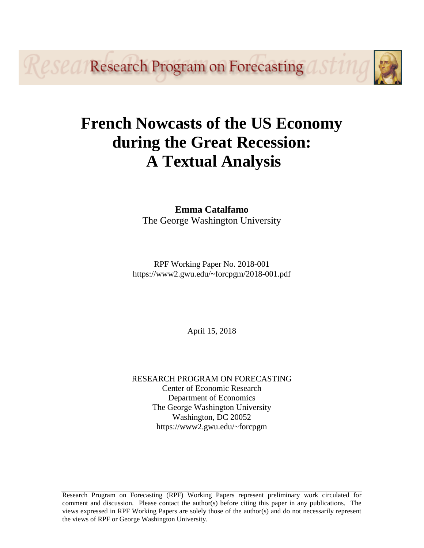*eseal* Research Program on Forecasting a

# **French Nowcasts of the US Economy during the Great Recession: A Textual Analysis**

**Emma Catalfamo** The George Washington University

RPF Working Paper No. 2018-001 https://www2.gwu.edu/~forcpgm/2018-001.pdf

April 15, 2018

RESEARCH PROGRAM ON FORECASTING Center of Economic Research Department of Economics The George Washington University Washington, DC 20052 https://www2.gwu.edu/~forcpgm

Research Program on Forecasting (RPF) Working Papers represent preliminary work circulated for comment and discussion. Please contact the author(s) before citing this paper in any publications. The views expressed in RPF Working Papers are solely those of the author(s) and do not necessarily represent the views of RPF or George Washington University.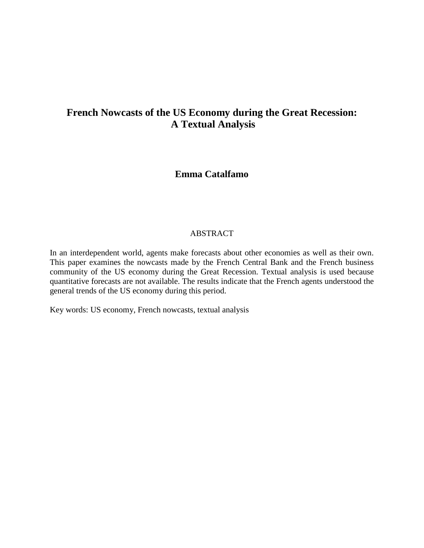## **French Nowcasts of the US Economy during the Great Recession: A Textual Analysis**

### **Emma Catalfamo**

#### ABSTRACT

In an interdependent world, agents make forecasts about other economies as well as their own. This paper examines the nowcasts made by the French Central Bank and the French business community of the US economy during the Great Recession. Textual analysis is used because quantitative forecasts are not available. The results indicate that the French agents understood the general trends of the US economy during this period.

Key words: US economy, French nowcasts, textual analysis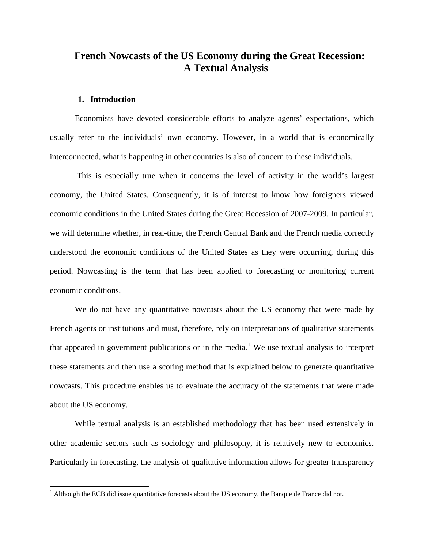## **French Nowcasts of the US Economy during the Great Recession: A Textual Analysis**

#### **1. Introduction**

Economists have devoted considerable efforts to analyze agents' expectations, which usually refer to the individuals' own economy. However, in a world that is economically interconnected, what is happening in other countries is also of concern to these individuals.

This is especially true when it concerns the level of activity in the world's largest economy, the United States. Consequently, it is of interest to know how foreigners viewed economic conditions in the United States during the Great Recession of 2007-2009. In particular, we will determine whether, in real-time, the French Central Bank and the French media correctly understood the economic conditions of the United States as they were occurring, during this period. Nowcasting is the term that has been applied to forecasting or monitoring current economic conditions.

We do not have any quantitative nowcasts about the US economy that were made by French agents or institutions and must, therefore, rely on interpretations of qualitative statements that appeared in government publications or in the media.<sup>[1](#page-2-0)</sup> We use textual analysis to interpret these statements and then use a scoring method that is explained below to generate quantitative nowcasts. This procedure enables us to evaluate the accuracy of the statements that were made about the US economy.

While textual analysis is an established methodology that has been used extensively in other academic sectors such as sociology and philosophy, it is relatively new to economics. Particularly in forecasting, the analysis of qualitative information allows for greater transparency

<span id="page-2-0"></span> $<sup>1</sup>$  Although the ECB did issue quantitative forecasts about the US economy, the Banque de France did not.</sup>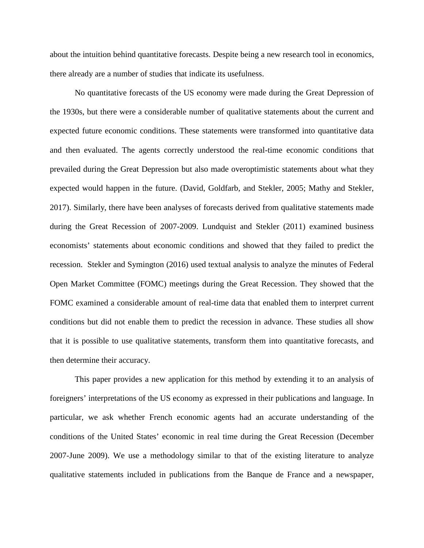about the intuition behind quantitative forecasts. Despite being a new research tool in economics, there already are a number of studies that indicate its usefulness.

No quantitative forecasts of the US economy were made during the Great Depression of the 1930s, but there were a considerable number of qualitative statements about the current and expected future economic conditions. These statements were transformed into quantitative data and then evaluated. The agents correctly understood the real-time economic conditions that prevailed during the Great Depression but also made overoptimistic statements about what they expected would happen in the future. (David, Goldfarb, and Stekler, 2005; Mathy and Stekler, 2017). Similarly, there have been analyses of forecasts derived from qualitative statements made during the Great Recession of 2007-2009. Lundquist and Stekler (2011) examined business economists' statements about economic conditions and showed that they failed to predict the recession. Stekler and Symington (2016) used textual analysis to analyze the minutes of Federal Open Market Committee (FOMC) meetings during the Great Recession. They showed that the FOMC examined a considerable amount of real-time data that enabled them to interpret current conditions but did not enable them to predict the recession in advance. These studies all show that it is possible to use qualitative statements, transform them into quantitative forecasts, and then determine their accuracy.

This paper provides a new application for this method by extending it to an analysis of foreigners' interpretations of the US economy as expressed in their publications and language. In particular, we ask whether French economic agents had an accurate understanding of the conditions of the United States' economic in real time during the Great Recession (December 2007-June 2009). We use a methodology similar to that of the existing literature to analyze qualitative statements included in publications from the Banque de France and a newspaper,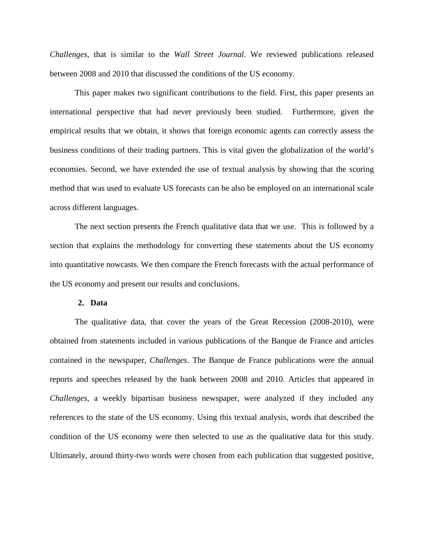*Challenges,* that is similar to the *Wall Street Journal*. We reviewed publications released between 2008 and 2010 that discussed the conditions of the US economy.

This paper makes two significant contributions to the field. First, this paper presents an international perspective that had never previously been studied. Furthermore, given the empirical results that we obtain, it shows that foreign economic agents can correctly assess the business conditions of their trading partners. This is vital given the globalization of the world's economies. Second, we have extended the use of textual analysis by showing that the scoring method that was used to evaluate US forecasts can be also be employed on an international scale across different languages.

The next section presents the French qualitative data that we use. This is followed by a section that explains the methodology for converting these statements about the US economy into quantitative nowcasts. We then compare the French forecasts with the actual performance of the US economy and present our results and conclusions.

#### **2. Data**

The qualitative data, that cover the years of the Great Recession (2008-2010), were obtained from statements included in various publications of the Banque de France and articles contained in the newspaper, *Challenges*. The Banque de France publications were the annual reports and speeches released by the bank between 2008 and 2010. Articles that appeared in *Challenges*, a weekly bipartisan business newspaper, were analyzed if they included any references to the state of the US economy. Using this textual analysis, words that described the condition of the US economy were then selected to use as the qualitative data for this study. Ultimately, around thirty-two words were chosen from each publication that suggested positive,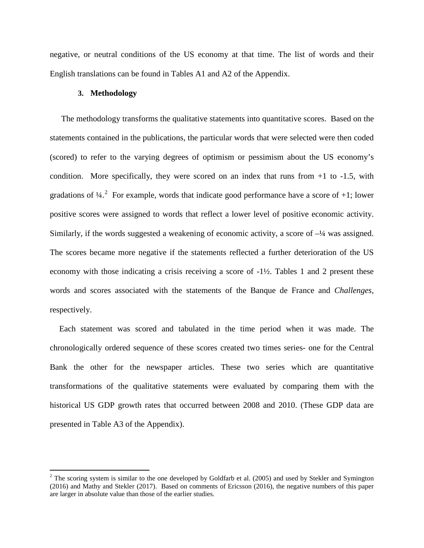negative, or neutral conditions of the US economy at that time. The list of words and their English translations can be found in Tables A1 and A2 of the Appendix.

#### **3. Methodology**

The methodology transforms the qualitative statements into quantitative scores. Based on the statements contained in the publications, the particular words that were selected were then coded (scored) to refer to the varying degrees of optimism or pessimism about the US economy's condition. More specifically, they were scored on an index that runs from +1 to -1.5, with gradations of  $\frac{1}{4}$ . For example, words that indicate good performance have a score of +1; lower positive scores were assigned to words that reflect a lower level of positive economic activity. Similarly, if the words suggested a weakening of economic activity, a score of –¼ was assigned. The scores became more negative if the statements reflected a further deterioration of the US economy with those indicating a crisis receiving a score of -1½. Tables 1 and 2 present these words and scores associated with the statements of the Banque de France and *Challenges,* respectively.

Each statement was scored and tabulated in the time period when it was made. The chronologically ordered sequence of these scores created two times series- one for the Central Bank the other for the newspaper articles. These two series which are quantitative transformations of the qualitative statements were evaluated by comparing them with the historical US GDP growth rates that occurred between 2008 and 2010. (These GDP data are presented in Table A3 of the Appendix).

<span id="page-5-0"></span> $2$  The scoring system is similar to the one developed by Goldfarb et al. (2005) and used by Stekler and Symington (2016) and Mathy and Stekler (2017). Based on comments of Ericsson (2016), the negative numbers of this paper are larger in absolute value than those of the earlier studies.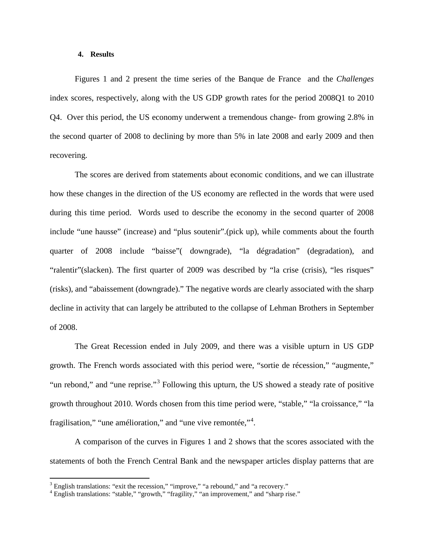#### **4. Results**

Figures 1 and 2 present the time series of the Banque de France and the *Challenges* index scores, respectively, along with the US GDP growth rates for the period 2008Q1 to 2010 Q4. Over this period, the US economy underwent a tremendous change- from growing 2.8% in the second quarter of 2008 to declining by more than 5% in late 2008 and early 2009 and then recovering.

The scores are derived from statements about economic conditions, and we can illustrate how these changes in the direction of the US economy are reflected in the words that were used during this time period. Words used to describe the economy in the second quarter of 2008 include "une hausse" (increase) and "plus soutenir".(pick up), while comments about the fourth quarter of 2008 include "baisse"( downgrade), "la dégradation" (degradation), and "ralentir"(slacken). The first quarter of 2009 was described by "la crise (crisis), "les risques" (risks), and "abaissement (downgrade)." The negative words are clearly associated with the sharp decline in activity that can largely be attributed to the collapse of Lehman Brothers in September of 2008.

The Great Recession ended in July 2009, and there was a visible upturn in US GDP growth. The French words associated with this period were, "sortie de récession," "augmente," "un rebond," and "une reprise."<sup>[3](#page-6-0)</sup> Following this upturn, the US showed a steady rate of positive growth throughout 2010. Words chosen from this time period were, "stable," "la croissance," "la fragilisation," "une amélioration," and "une vive remontée,"<sup>[4](#page-6-1)</sup>.

A comparison of the curves in Figures 1 and 2 shows that the scores associated with the statements of both the French Central Bank and the newspaper articles display patterns that are

<span id="page-6-0"></span> $3$  English translations: "exit the recession," "improve," "a rebound," and "a recovery."

<span id="page-6-1"></span><sup>&</sup>lt;sup>4</sup> English translations: "stable," "growth," "fragility," "an improvement," and "sharp rise."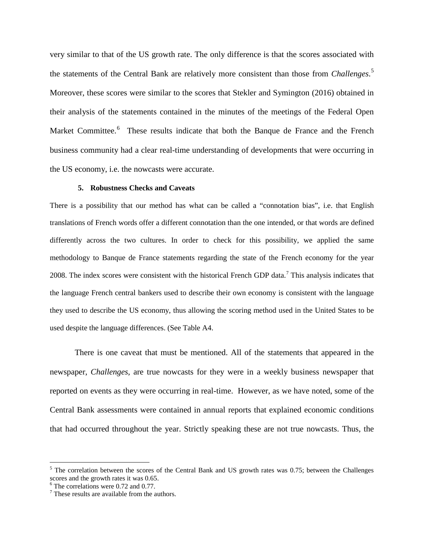very similar to that of the US growth rate. The only difference is that the scores associated with the statements of the Central Bank are relatively more consistent than those from *Challenges*. [5](#page-7-0) Moreover, these scores were similar to the scores that Stekler and Symington (2016) obtained in their analysis of the statements contained in the minutes of the meetings of the Federal Open Market Committee.<sup>[6](#page-7-1)</sup> These results indicate that both the Banque de France and the French business community had a clear real-time understanding of developments that were occurring in the US economy, i.e. the nowcasts were accurate.

#### **5. Robustness Checks and Caveats**

There is a possibility that our method has what can be called a "connotation bias", i.e. that English translations of French words offer a different connotation than the one intended, or that words are defined differently across the two cultures. In order to check for this possibility, we applied the same methodology to Banque de France statements regarding the state of the French economy for the year 2008. The index scores were consistent with the historical French GDP data.<sup>[7](#page-7-2)</sup> This analysis indicates that the language French central bankers used to describe their own economy is consistent with the language they used to describe the US economy, thus allowing the scoring method used in the United States to be used despite the language differences. (See Table A4.

There is one caveat that must be mentioned. All of the statements that appeared in the newspaper, *Challenges*, are true nowcasts for they were in a weekly business newspaper that reported on events as they were occurring in real-time. However, as we have noted, some of the Central Bank assessments were contained in annual reports that explained economic conditions that had occurred throughout the year. Strictly speaking these are not true nowcasts. Thus, the

<span id="page-7-0"></span><sup>&</sup>lt;sup>5</sup> The correlation between the scores of the Central Bank and US growth rates was 0.75; between the Challenges scores and the growth rates it was 0.65.<br><sup>6</sup> The correlations were 0.72 and 0.77.

<span id="page-7-2"></span><span id="page-7-1"></span> $<sup>7</sup>$  These results are available from the authors.</sup>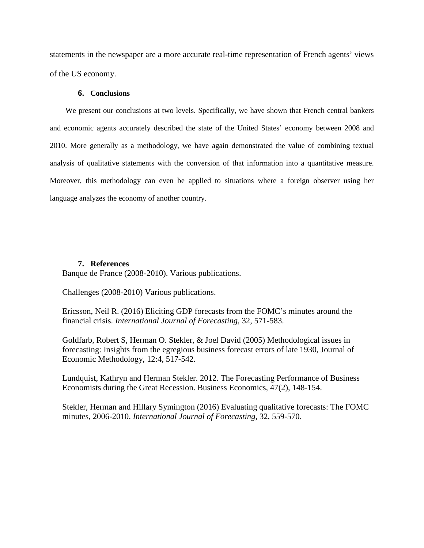statements in the newspaper are a more accurate real-time representation of French agents' views of the US economy.

#### **6. Conclusions**

We present our conclusions at two levels. Specifically, we have shown that French central bankers and economic agents accurately described the state of the United States' economy between 2008 and 2010. More generally as a methodology, we have again demonstrated the value of combining textual analysis of qualitative statements with the conversion of that information into a quantitative measure. Moreover, this methodology can even be applied to situations where a foreign observer using her language analyzes the economy of another country.

#### **7. References**

Banque de France (2008-2010). Various publications.

Challenges (2008-2010) Various publications.

Ericsson, Neil R. (2016) Eliciting GDP forecasts from the FOMC's minutes around the financial crisis. *International Journal of Forecasting*, 32, 571-583.

Goldfarb, Robert S, Herman O. Stekler, & Joel David (2005) Methodological issues in forecasting: Insights from the egregious business forecast errors of late 1930, Journal of Economic Methodology, 12:4, 517-542.

Lundquist, Kathryn and Herman Stekler. 2012. The Forecasting Performance of Business Economists during the Great Recession. Business Economics, 47(2), 148-154.

Stekler, Herman and Hillary Symington (2016) Evaluating qualitative forecasts: The FOMC minutes, 2006-2010. *International Journal of Forecasting*, 32, 559-570.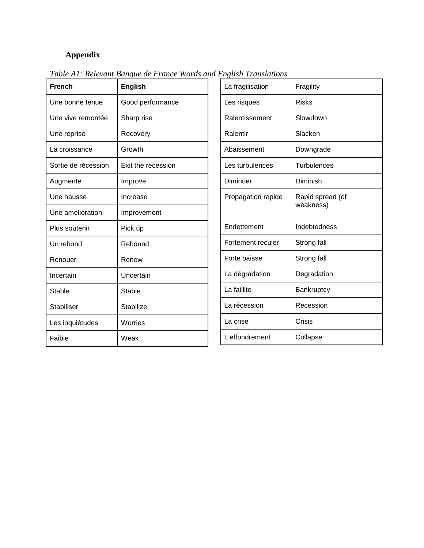## **Appendix**

| <b>French</b>       | <b>English</b>     |
|---------------------|--------------------|
| Une bonne tenue     | Good performance   |
| Une vive remontée   | Sharp rise         |
| Une reprise         | Recovery           |
| La croissance       | Growth             |
| Sortie de récession | Exit the recession |
| Augmente            | Improve            |
| Une hausse          | Increase           |
| Une amélioration    | Improvement        |
| Plus soutenir       | Pick up            |
| Un rebond           | Rebound            |
| Renouer             | Renew              |
| Incertain           | Uncertain          |
| Stable              | Stable             |
| <b>Stabiliser</b>   | Stabilize          |
| Les inquiétudes     | Worries            |
| Faible              | Weak               |

*Table A1: Relevant Banque de France Words and English Translations*

| La fragilisation   | Fragility                     |
|--------------------|-------------------------------|
| Les risques        | Risks                         |
| Ralentissement     | Slowdown                      |
| Ralentir           | Slacken                       |
| Abaissement        | Downgrade                     |
| Les turbulences    | Turbulences                   |
| Diminuer           | Diminish                      |
| Propagation rapide | Rapid spread (of<br>weakness) |
| Endettement        | Indebtedness                  |
| Fortement reculer  | Strong fall                   |
| Forte baisse       | Strong fall                   |
| La dégradation     | Degradation                   |
| La faillite        | Bankruptcy                    |
| La récession       | Recession                     |
| La crise           | Crisis                        |
| L'effondrement     | Collapse                      |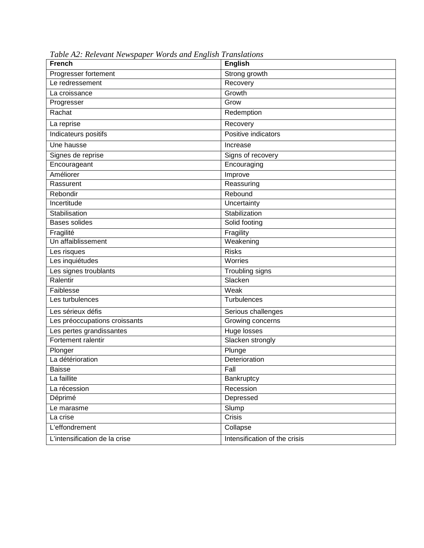| <b>French</b>                 | English                       |
|-------------------------------|-------------------------------|
| Progresser fortement          | Strong growth                 |
| Le redressement               | Recovery                      |
| La croissance                 | Growth                        |
| Progresser                    | Grow                          |
| Rachat                        | Redemption                    |
| La reprise                    | Recovery                      |
| Indicateurs positifs          | Positive indicators           |
| Une hausse                    | Increase                      |
| Signes de reprise             | Signs of recovery             |
| Encourageant                  | Encouraging                   |
| Améliorer                     | Improve                       |
| Rassurent                     | Reassuring                    |
| Rebondir                      | Rebound                       |
| Incertitude                   | Uncertainty                   |
| Stabilisation                 | Stabilization                 |
| <b>Bases solides</b>          | Solid footing                 |
| Fragilité                     | Fragility                     |
| Un affaiblissement            | Weakening                     |
| Les risques                   | <b>Risks</b>                  |
| Les inquiétudes               | Worries                       |
| Les signes troublants         | Troubling signs               |
| Ralentir                      | Slacken                       |
| Faiblesse                     | Weak                          |
| Les turbulences               | Turbulences                   |
| Les sérieux défis             | Serious challenges            |
| Les préoccupations croissants | Growing concerns              |
| Les pertes grandissantes      | <b>Huge losses</b>            |
| Fortement ralentir            | Slacken strongly              |
| Plonger                       | Plunge                        |
| La détérioration              | Deterioration                 |
| Baisse                        | Fall                          |
| La faillite                   | Bankruptcy                    |
| La récession                  | Recession                     |
| Déprimé                       | Depressed                     |
| Le marasme                    | Slump                         |
| La crise                      | <b>Crisis</b>                 |
| L'effondrement                | Collapse                      |
| L'intensification de la crise | Intensification of the crisis |

*Table A2: Relevant Newspaper Words and English Translations*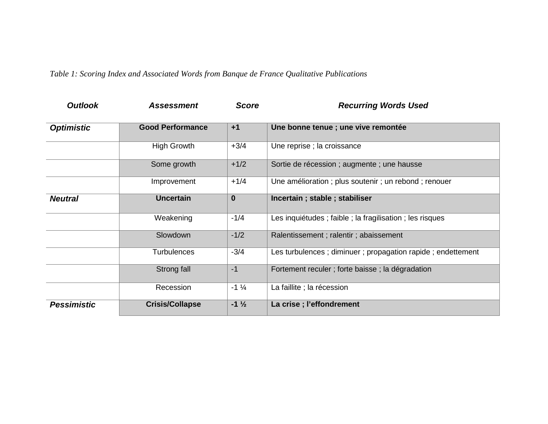*Table 1: Scoring Index and Associated Words from Banque de France Qualitative Publications*

| <b>Outlook</b>     | <b>Assessment</b>       | <b>Score</b>    | <b>Recurring Words Used</b>                                |
|--------------------|-------------------------|-----------------|------------------------------------------------------------|
| <b>Optimistic</b>  | <b>Good Performance</b> | $+1$            | Une bonne tenue ; une vive remontée                        |
|                    | <b>High Growth</b>      | $+3/4$          | Une reprise ; la croissance                                |
|                    | Some growth             | $+1/2$          | Sortie de récession ; augmente ; une hausse                |
|                    | Improvement             | $+1/4$          | Une amélioration ; plus soutenir ; un rebond ; renouer     |
| <b>Neutral</b>     | <b>Uncertain</b>        | $\mathbf{0}$    | Incertain; stable; stabiliser                              |
|                    | Weakening               | $-1/4$          | Les inquiétudes ; faible ; la fragilisation ; les risques  |
|                    | Slowdown                | $-1/2$          | Ralentissement; ralentir; abaissement                      |
|                    | <b>Turbulences</b>      | $-3/4$          | Les turbulences; diminuer; propagation rapide; endettement |
|                    | Strong fall             | $-1$            | Fortement reculer ; forte baisse ; la dégradation          |
|                    | Recession               | $-1\frac{1}{4}$ | La faillite ; la récession                                 |
| <b>Pessimistic</b> | <b>Crisis/Collapse</b>  | $-1\frac{1}{2}$ | La crise ; l'effondrement                                  |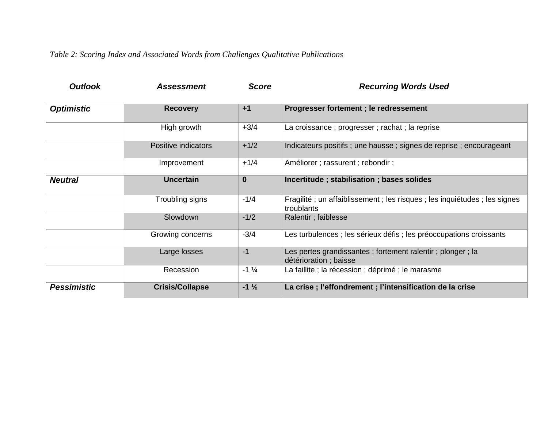*Table 2: Scoring Index and Associated Words from Challenges Qualitative Publications*

| <b>Outlook</b>     | <b>Assessment</b>      | <b>Score</b>    | <b>Recurring Words Used</b>                                                           |
|--------------------|------------------------|-----------------|---------------------------------------------------------------------------------------|
| <b>Optimistic</b>  | <b>Recovery</b>        | $+1$            | Progresser fortement; le redressement                                                 |
|                    | High growth            | $+3/4$          | La croissance ; progresser ; rachat ; la reprise                                      |
|                    | Positive indicators    | $+1/2$          | Indicateurs positifs; une hausse; signes de reprise; encourageant                     |
|                    | Improvement            | $+1/4$          | Améliorer ; rassurent ; rebondir ;                                                    |
| <b>Neutral</b>     | <b>Uncertain</b>       | $\mathbf{0}$    | Incertitude; stabilisation; bases solides                                             |
|                    | Troubling signs        | $-1/4$          | Fragilité; un affaiblissement; les risques; les inquiétudes; les signes<br>troublants |
|                    | Slowdown               | $-1/2$          | Ralentir; faiblesse                                                                   |
|                    | Growing concerns       | $-3/4$          | Les turbulences ; les sérieux défis ; les préoccupations croissants                   |
|                    | Large losses           | $-1$            | Les pertes grandissantes; fortement ralentir; plonger; la<br>détérioration ; baisse   |
|                    | Recession              | $-1\frac{1}{4}$ | La faillite ; la récession ; déprimé ; le marasme                                     |
| <b>Pessimistic</b> | <b>Crisis/Collapse</b> | $-1\frac{1}{2}$ | La crise; l'effondrement; l'intensification de la crise                               |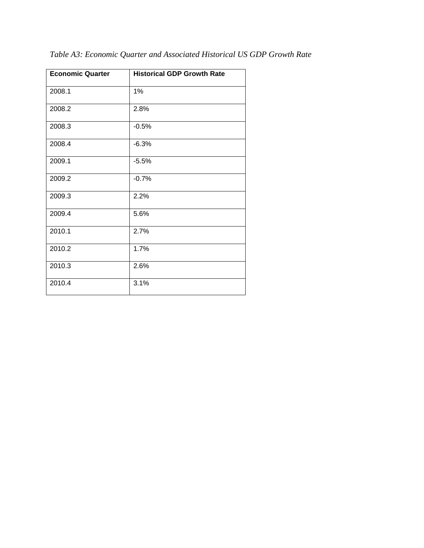| <b>Economic Quarter</b> | <b>Historical GDP Growth Rate</b> |
|-------------------------|-----------------------------------|
| 2008.1                  | 1%                                |
| 2008.2                  | 2.8%                              |
| 2008.3                  | $-0.5%$                           |
| 2008.4                  | $-6.3%$                           |
| 2009.1                  | $-5.5%$                           |
| 2009.2                  | $-0.7%$                           |
| 2009.3                  | 2.2%                              |
| 2009.4                  | 5.6%                              |
| 2010.1                  | 2.7%                              |
| 2010.2                  | 1.7%                              |
| 2010.3                  | 2.6%                              |
| 2010.4                  | 3.1%                              |

*Table A3: Economic Quarter and Associated Historical US GDP Growth Rate*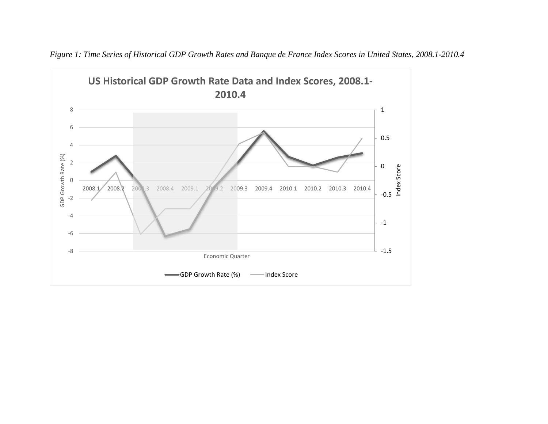

*Figure 1: Time Series of Historical GDP Growth Rates and Banque de France Index Scores in United States, 2008.1-2010.4*